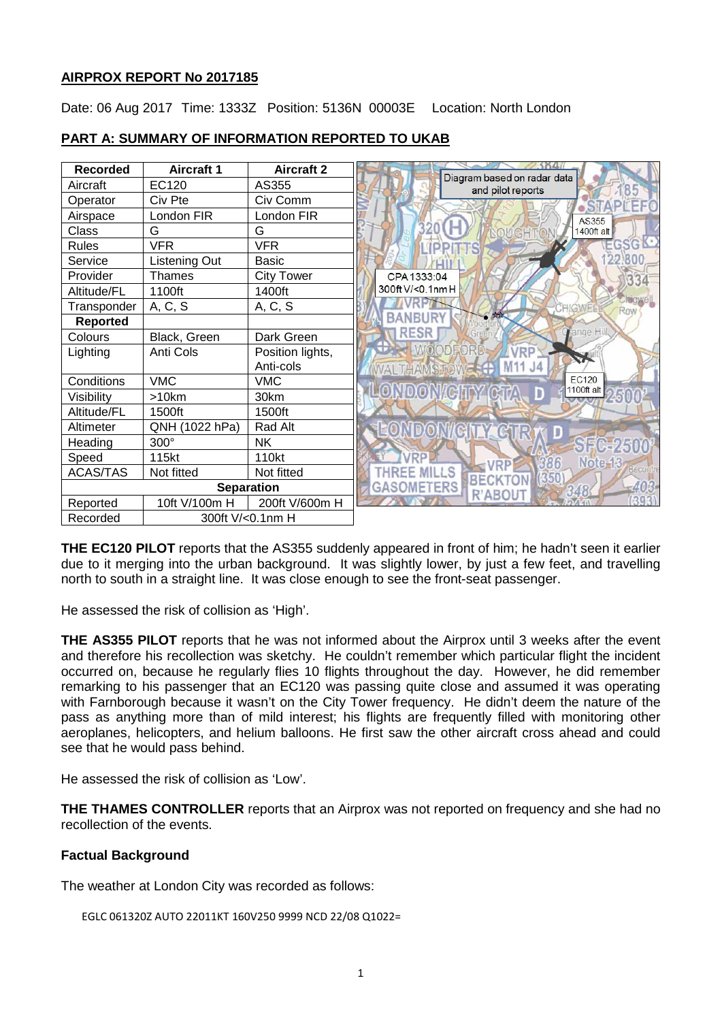# **AIRPROX REPORT No 2017185**

Date: 06 Aug 2017 Time: 1333Z Position: 5136N 00003E Location: North London

| <b>Recorded</b>   | <b>Aircraft 1</b> | <b>Aircraft 2</b> |                                                  |
|-------------------|-------------------|-------------------|--------------------------------------------------|
| Aircraft          | EC120             | AS355             | Diagram based on radar data<br>and pilot reports |
| Operator          | Civ Pte           | Civ Comm          |                                                  |
| Airspace          | London FIR        | London FIR        | AS355                                            |
| Class             | G                 | G                 | <b>1400ft</b> alt                                |
| <b>Rules</b>      | <b>VFR</b>        | <b>VFR</b>        | EGSG                                             |
| Service           | Listening Out     | <b>Basic</b>      |                                                  |
| Provider          | Thames            | <b>City Tower</b> | CPA 1333:04<br>334                               |
| Altitude/FL       | 1100ft            | 1400ft            | 300ft V/<0.1nm H                                 |
| Transponder       | A, C, S           | A, C, S           | <b>HIGWEL</b><br>Row                             |
| <b>Reported</b>   |                   |                   | <b>TON</b><br>BANBURY                            |
| Colours           | Black, Green      | Dark Green        | ange Hill.<br><b>RESR</b>                        |
| Lighting          | Anti Cols         | Position lights,  | <b>IOODEORD</b><br>/DD                           |
|                   |                   | Anti-cols         |                                                  |
| Conditions        | <b>VMC</b>        | <b>VMC</b>        | <b>EC120</b><br>1100ft alt                       |
| Visibility        | >10km             | 30km              | <b>DONACHTY</b><br>Ð                             |
| Altitude/FL       | 1500ft            | 1500ft            |                                                  |
| Altimeter         | QNH (1022 hPa)    | Rad Alt           | GINGIR<br>D                                      |
| Heading           | 300°              | <b>NK</b>         | ST6.250                                          |
| Speed             | 115kt             | 110kt             | Note-13<br>86<br><b>DD</b>                       |
| <b>ACAS/TAS</b>   | Not fitted        | Not fitted        | (350)<br><b>BE</b>                               |
| <b>Separation</b> |                   |                   | GASOMETERS<br>R'ABO                              |
| Reported          | 10ft V/100m H     | 200ft V/600m H    |                                                  |
| Recorded          | 300ft V/<0.1nm H  |                   |                                                  |

# **PART A: SUMMARY OF INFORMATION REPORTED TO UKAB**

**THE EC120 PILOT** reports that the AS355 suddenly appeared in front of him; he hadn't seen it earlier due to it merging into the urban background. It was slightly lower, by just a few feet, and travelling north to south in a straight line. It was close enough to see the front-seat passenger.

He assessed the risk of collision as 'High'.

**THE AS355 PILOT** reports that he was not informed about the Airprox until 3 weeks after the event and therefore his recollection was sketchy. He couldn't remember which particular flight the incident occurred on, because he regularly flies 10 flights throughout the day. However, he did remember remarking to his passenger that an EC120 was passing quite close and assumed it was operating with Farnborough because it wasn't on the City Tower frequency. He didn't deem the nature of the pass as anything more than of mild interest; his flights are frequently filled with monitoring other aeroplanes, helicopters, and helium balloons. He first saw the other aircraft cross ahead and could see that he would pass behind.

He assessed the risk of collision as 'Low'.

**THE THAMES CONTROLLER** reports that an Airprox was not reported on frequency and she had no recollection of the events.

# **Factual Background**

The weather at London City was recorded as follows:

EGLC 061320Z AUTO 22011KT 160V250 9999 NCD 22/08 Q1022=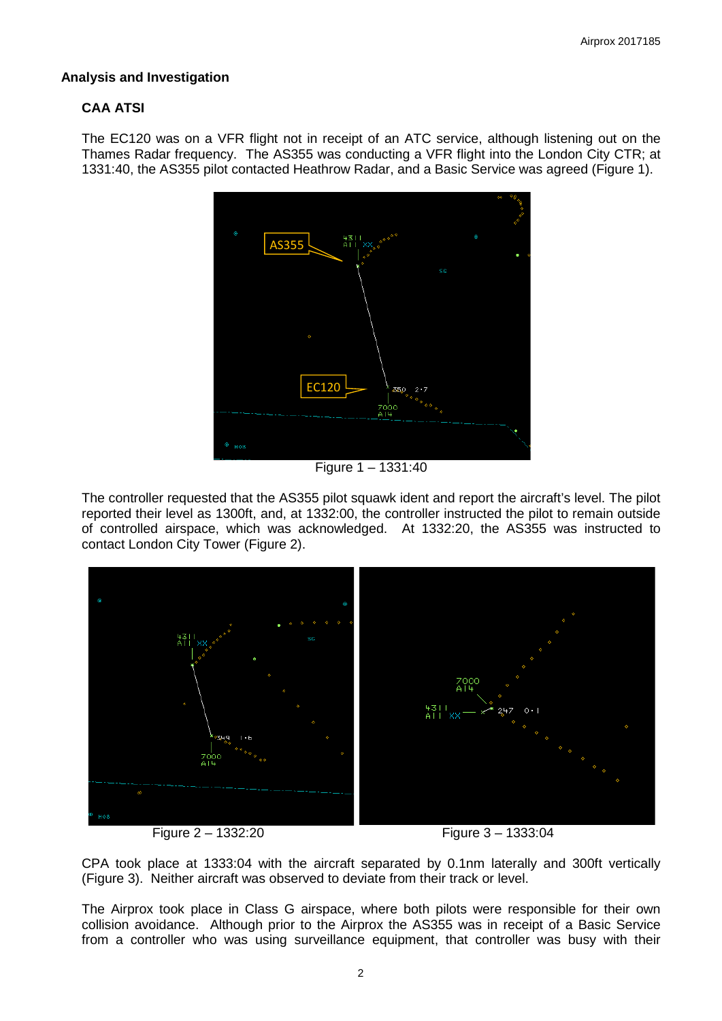# **Analysis and Investigation**

# **CAA ATSI**

The EC120 was on a VFR flight not in receipt of an ATC service, although listening out on the Thames Radar frequency. The AS355 was conducting a VFR flight into the London City CTR; at 1331:40, the AS355 pilot contacted Heathrow Radar, and a Basic Service was agreed (Figure 1).



Figure 1 – 1331:40

The controller requested that the AS355 pilot squawk ident and report the aircraft's level. The pilot reported their level as 1300ft, and, at 1332:00, the controller instructed the pilot to remain outside of controlled airspace, which was acknowledged. At 1332:20, the AS355 was instructed to contact London City Tower (Figure 2).



Figure 2 – 1332:20 Figure 3 – 1333:04

CPA took place at 1333:04 with the aircraft separated by 0.1nm laterally and 300ft vertically (Figure 3). Neither aircraft was observed to deviate from their track or level.

The Airprox took place in Class G airspace, where both pilots were responsible for their own collision avoidance. Although prior to the Airprox the AS355 was in receipt of a Basic Service from a controller who was using surveillance equipment, that controller was busy with their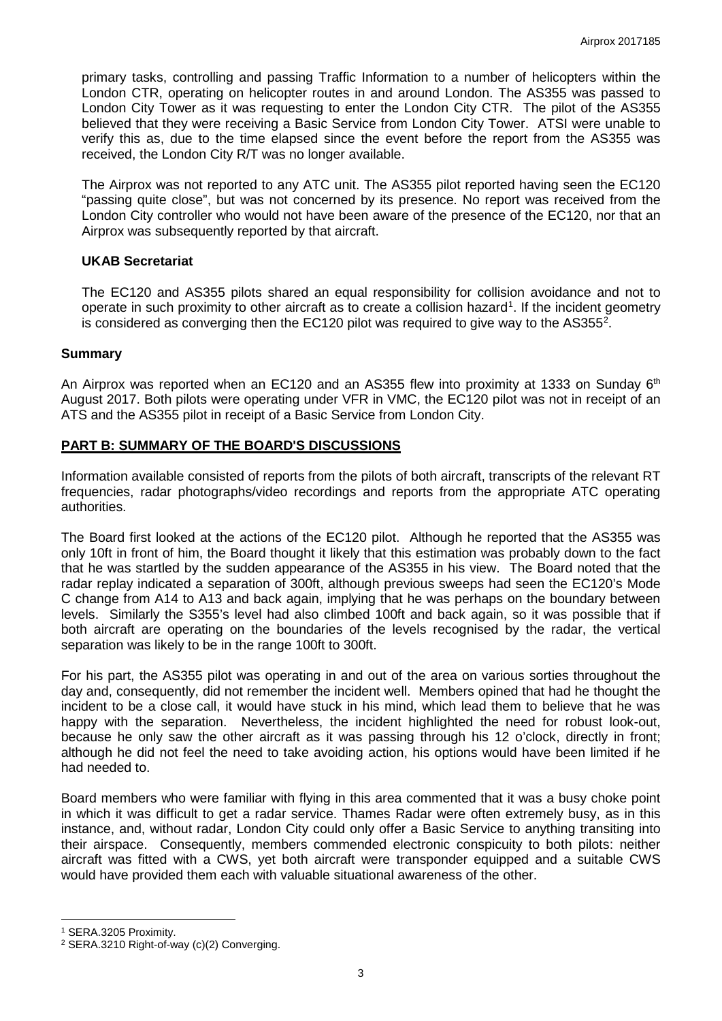primary tasks, controlling and passing Traffic Information to a number of helicopters within the London CTR, operating on helicopter routes in and around London. The AS355 was passed to London City Tower as it was requesting to enter the London City CTR. The pilot of the AS355 believed that they were receiving a Basic Service from London City Tower. ATSI were unable to verify this as, due to the time elapsed since the event before the report from the AS355 was received, the London City R/T was no longer available.

The Airprox was not reported to any ATC unit. The AS355 pilot reported having seen the EC120 "passing quite close", but was not concerned by its presence. No report was received from the London City controller who would not have been aware of the presence of the EC120, nor that an Airprox was subsequently reported by that aircraft.

### **UKAB Secretariat**

The EC120 and AS355 pilots shared an equal responsibility for collision avoidance and not to operate in such proximity to other aircraft as to create a collision hazard<sup>[1](#page-2-0)</sup>. If the incident geometry is considered as converging then the EC1[2](#page-2-1)0 pilot was required to give way to the AS355<sup>2</sup>.

### **Summary**

An Airprox was reported when an EC120 and an AS355 flew into proximity at 1333 on Sunday  $6<sup>th</sup>$ August 2017. Both pilots were operating under VFR in VMC, the EC120 pilot was not in receipt of an ATS and the AS355 pilot in receipt of a Basic Service from London City.

### **PART B: SUMMARY OF THE BOARD'S DISCUSSIONS**

Information available consisted of reports from the pilots of both aircraft, transcripts of the relevant RT frequencies, radar photographs/video recordings and reports from the appropriate ATC operating authorities.

The Board first looked at the actions of the EC120 pilot. Although he reported that the AS355 was only 10ft in front of him, the Board thought it likely that this estimation was probably down to the fact that he was startled by the sudden appearance of the AS355 in his view. The Board noted that the radar replay indicated a separation of 300ft, although previous sweeps had seen the EC120's Mode C change from A14 to A13 and back again, implying that he was perhaps on the boundary between levels. Similarly the S355's level had also climbed 100ft and back again, so it was possible that if both aircraft are operating on the boundaries of the levels recognised by the radar, the vertical separation was likely to be in the range 100ft to 300ft.

For his part, the AS355 pilot was operating in and out of the area on various sorties throughout the day and, consequently, did not remember the incident well. Members opined that had he thought the incident to be a close call, it would have stuck in his mind, which lead them to believe that he was happy with the separation. Nevertheless, the incident highlighted the need for robust look-out, because he only saw the other aircraft as it was passing through his 12 o'clock, directly in front; although he did not feel the need to take avoiding action, his options would have been limited if he had needed to.

Board members who were familiar with flying in this area commented that it was a busy choke point in which it was difficult to get a radar service. Thames Radar were often extremely busy, as in this instance, and, without radar, London City could only offer a Basic Service to anything transiting into their airspace. Consequently, members commended electronic conspicuity to both pilots: neither aircraft was fitted with a CWS, yet both aircraft were transponder equipped and a suitable CWS would have provided them each with valuable situational awareness of the other.

l

<span id="page-2-0"></span><sup>1</sup> SERA.3205 Proximity.

<span id="page-2-1"></span><sup>2</sup> SERA.3210 Right-of-way (c)(2) Converging.